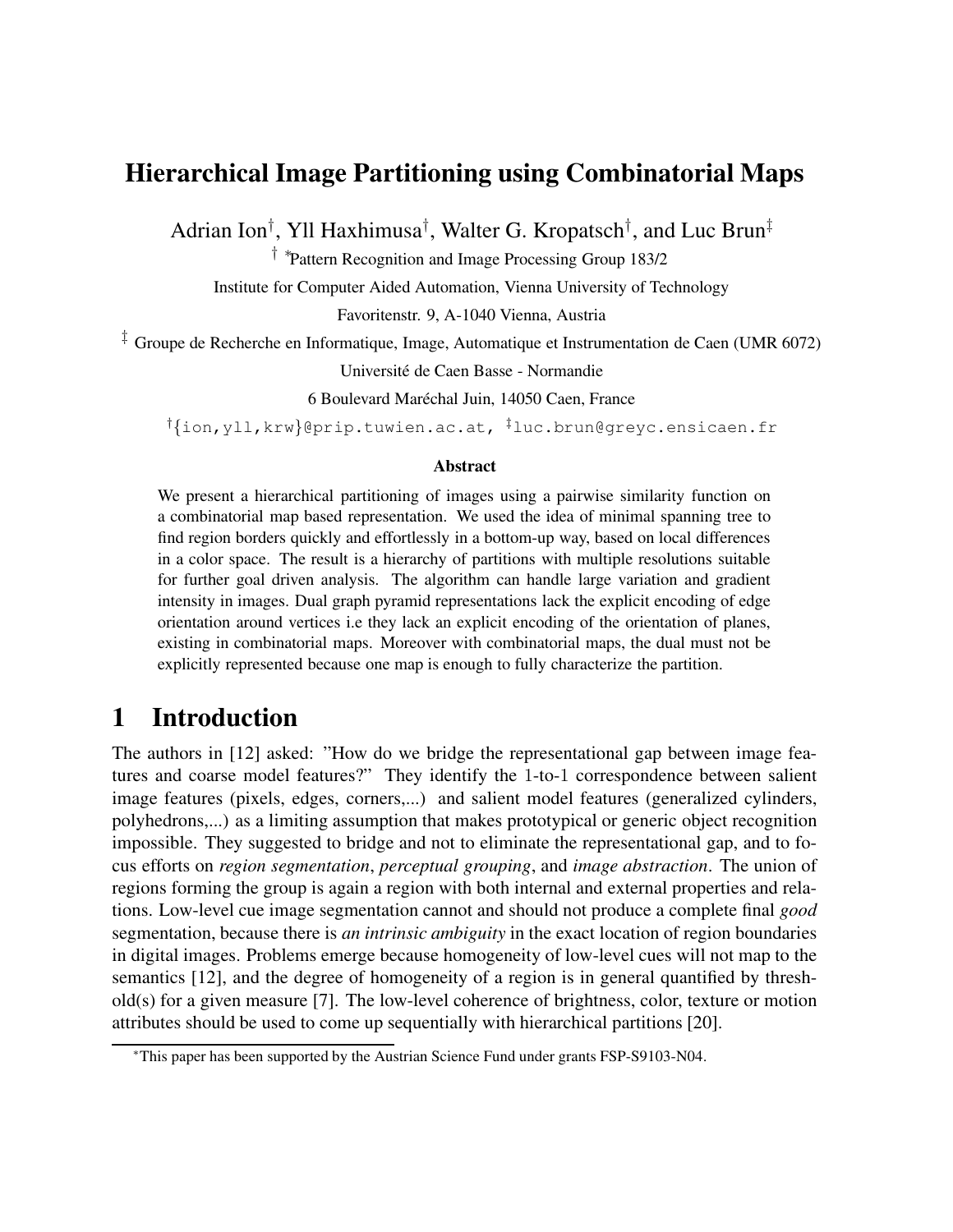## **Hierarchical Image Partitioning using Combinatorial Maps**

Adrian Ion<sup>†</sup>, Yll Haxhimusa<sup>†</sup>, Walter G. Kropatsch<sup>†</sup>, and Luc Brun<sup>‡</sup>

† ∗ Pattern Recognition and Image Processing Group 183/2

Institute for Computer Aided Automation, Vienna University of Technology

Favoritenstr. 9, A-1040 Vienna, Austria

 $\frac{1}{4}$  Groupe de Recherche en Informatique, Image, Automatique et Instrumentation de Caen (UMR 6072)

Universite´ de Caen Basse - Normandie

6 Boulevard Maréchal Juin, 14050 Caen, France

†{ion,yll,krw}@prip.tuwien.ac.at, ‡luc.brun@greyc.ensicaen.fr

#### **Abstract**

We present a hierarchical partitioning of images using a pairwise similarity function on a combinatorial map based representation. We used the idea of minimal spanning tree to find region borders quickly and effortlessly in a bottom-up way, based on local differences in a color space. The result is a hierarchy of partitions with multiple resolutions suitable for further goal driven analysis. The algorithm can handle large variation and gradient intensity in images. Dual graph pyramid representations lack the explicit encoding of edge orientation around vertices i.e they lack an explicit encoding of the orientation of planes, existing in combinatorial maps. Moreover with combinatorial maps, the dual must not be explicitly represented because one map is enough to fully characterize the partition.

## **1 Introduction**

The authors in [12] asked: "How do we bridge the representational gap between image features and coarse model features?" They identify the 1-to-1 correspondence between salient image features (pixels, edges, corners,...) and salient model features (generalized cylinders, polyhedrons,...) as a limiting assumption that makes prototypical or generic object recognition impossible. They suggested to bridge and not to eliminate the representational gap, and to focus efforts on *region segmentation*, *perceptual grouping*, and *image abstraction*. The union of regions forming the group is again a region with both internal and external properties and relations. Low-level cue image segmentation cannot and should not produce a complete final *good* segmentation, because there is *an intrinsic ambiguity* in the exact location of region boundaries in digital images. Problems emerge because homogeneity of low-level cues will not map to the semantics [12], and the degree of homogeneity of a region is in general quantified by threshold(s) for a given measure [7]. The low-level coherence of brightness, color, texture or motion attributes should be used to come up sequentially with hierarchical partitions [20].

<sup>∗</sup>This paper has been supported by the Austrian Science Fund under grants FSP-S9103-N04.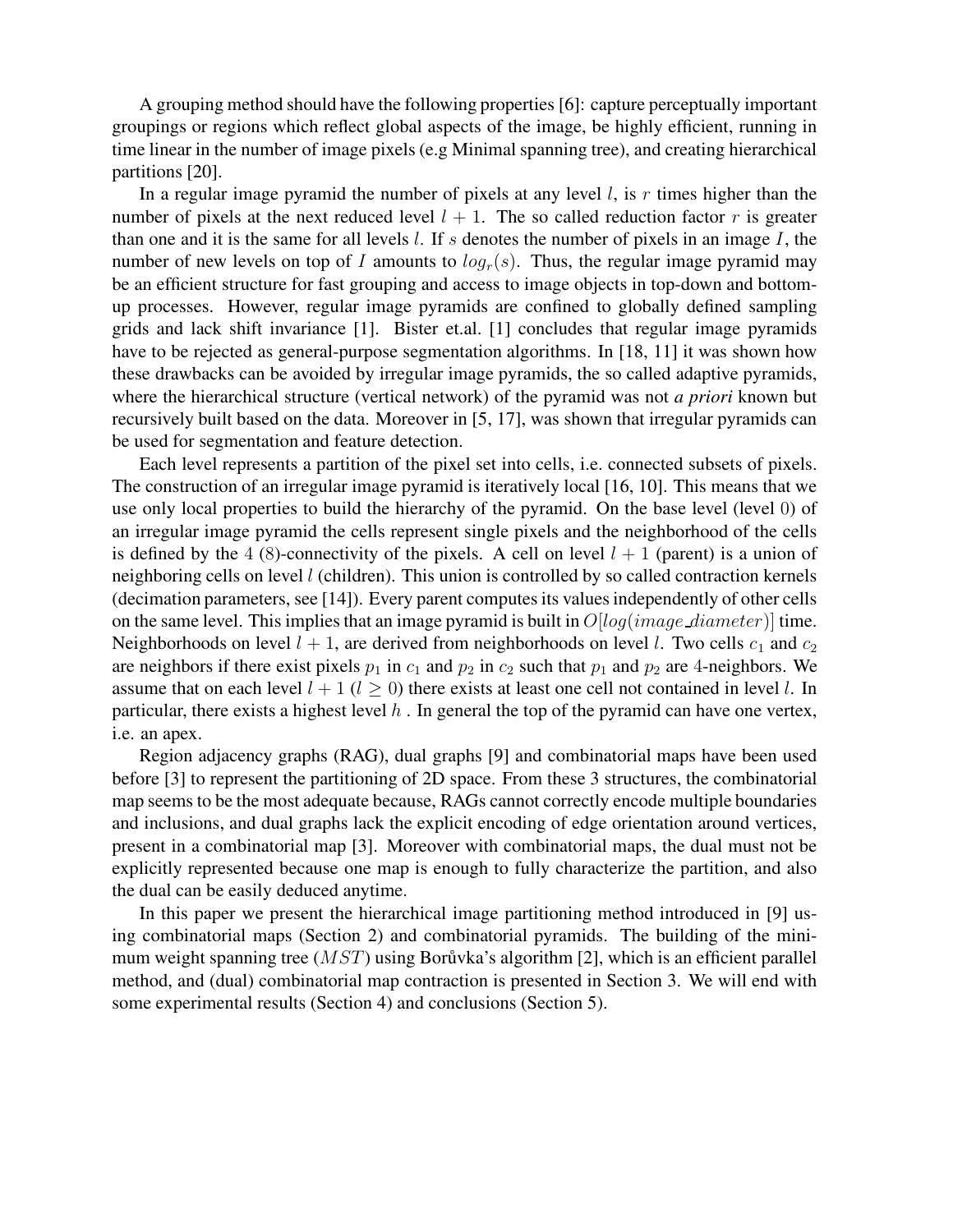A grouping method should have the following properties [6]: capture perceptually important groupings or regions which reflect global aspects of the image, be highly efficient, running in time linear in the number of image pixels (e.g Minimal spanning tree), and creating hierarchical partitions [20].

In a regular image pyramid the number of pixels at any level  $l$ , is r times higher than the number of pixels at the next reduced level  $l + 1$ . The so called reduction factor r is greater than one and it is the same for all levels  $l$ . If s denotes the number of pixels in an image  $I$ , the number of new levels on top of I amounts to  $log<sub>r</sub>(s)$ . Thus, the regular image pyramid may be an efficient structure for fast grouping and access to image objects in top-down and bottomup processes. However, regular image pyramids are confined to globally defined sampling grids and lack shift invariance [1]. Bister et.al. [1] concludes that regular image pyramids have to be rejected as general-purpose segmentation algorithms. In [18, 11] it was shown how these drawbacks can be avoided by irregular image pyramids, the so called adaptive pyramids, where the hierarchical structure (vertical network) of the pyramid was not *a priori* known but recursively built based on the data. Moreover in [5, 17], was shown that irregular pyramids can be used for segmentation and feature detection.

Each level represents a partition of the pixel set into cells, i.e. connected subsets of pixels. The construction of an irregular image pyramid is iteratively local [16, 10]. This means that we use only local properties to build the hierarchy of the pyramid. On the base level (level 0) of an irregular image pyramid the cells represent single pixels and the neighborhood of the cells is defined by the 4 (8)-connectivity of the pixels. A cell on level  $l + 1$  (parent) is a union of neighboring cells on level l (children). This union is controlled by so called contraction kernels (decimation parameters, see [14]). Every parent computesits valuesindependently of other cells on the same level. This implies that an image pyramid is built in  $O[log(image\_diameter)]$  time. Neighborhoods on level  $l + 1$ , are derived from neighborhoods on level l. Two cells  $c_1$  and  $c_2$ are neighbors if there exist pixels  $p_1$  in  $c_1$  and  $p_2$  in  $c_2$  such that  $p_1$  and  $p_2$  are 4-neighbors. We assume that on each level  $l + 1$  ( $l > 0$ ) there exists at least one cell not contained in level l. In particular, there exists a highest level  $h$ . In general the top of the pyramid can have one vertex, i.e. an apex.

Region adjacency graphs (RAG), dual graphs [9] and combinatorial maps have been used before [3] to represent the partitioning of 2D space. From these 3 structures, the combinatorial map seems to be the most adequate because, RAGs cannot correctly encode multiple boundaries and inclusions, and dual graphs lack the explicit encoding of edge orientation around vertices, present in a combinatorial map [3]. Moreover with combinatorial maps, the dual must not be explicitly represented because one map is enough to fully characterize the partition, and also the dual can be easily deduced anytime.

In this paper we present the hierarchical image partitioning method introduced in [9] using combinatorial maps (Section 2) and combinatorial pyramids. The building of the minimum weight spanning tree  $(MST)$  using Borůvka's algorithm [2], which is an efficient parallel method, and (dual) combinatorial map contraction is presented in Section 3. We will end with some experimental results (Section 4) and conclusions (Section 5).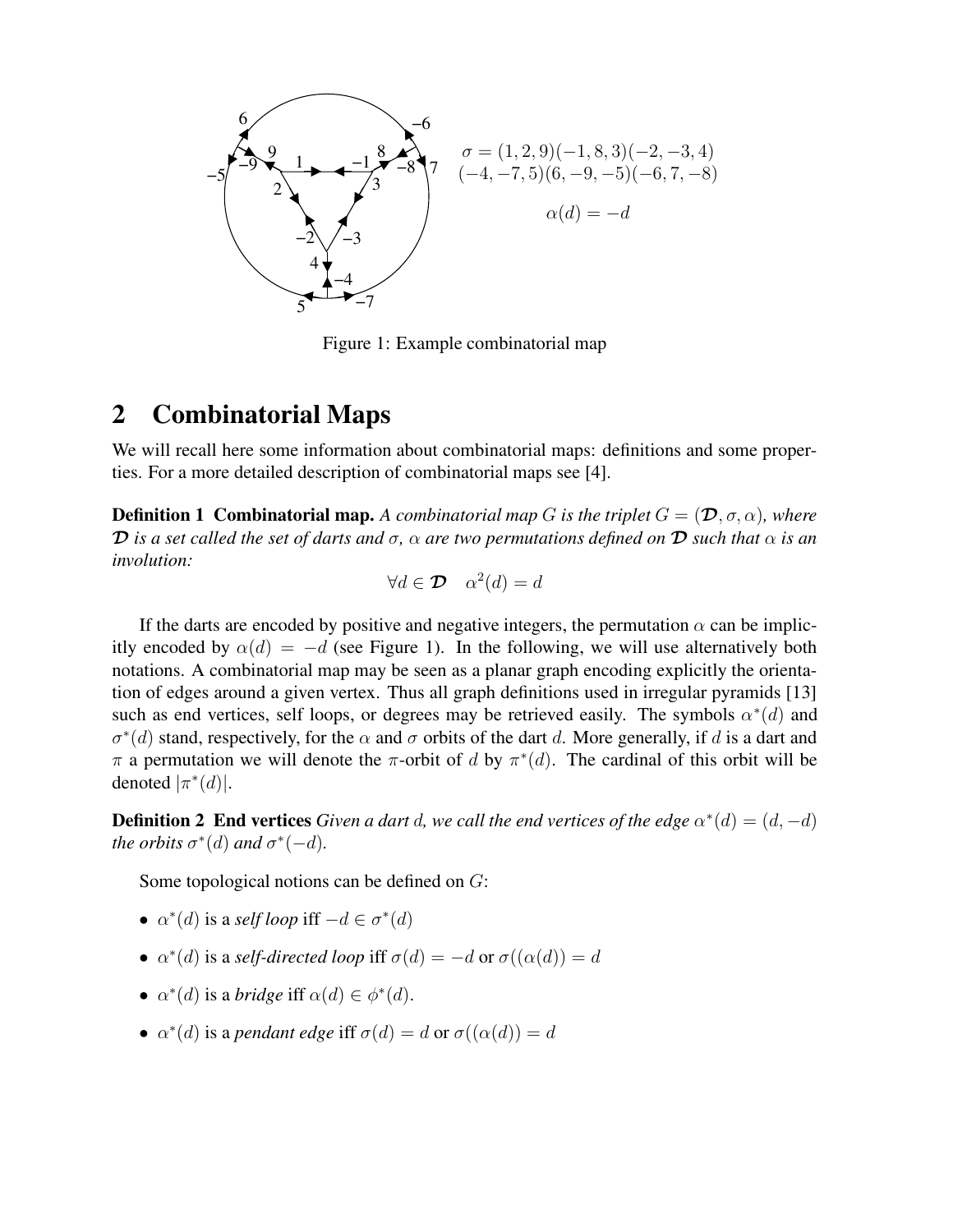

Figure 1: Example combinatorial map

### **2 Combinatorial Maps**

We will recall here some information about combinatorial maps: definitions and some properties. For a more detailed description of combinatorial maps see [4].

**Definition 1 Combinatorial map.** A combinatorial map G is the triplet  $G = (\mathcal{D}, \sigma, \alpha)$ , where **D** is a set called the set of darts and  $\sigma$ ,  $\alpha$  are two permutations defined on **D** such that  $\alpha$  is an *involution:*

$$
\forall d \in \mathcal{D} \quad \alpha^2(d) = d
$$

If the darts are encoded by positive and negative integers, the permutation  $\alpha$  can be implicitly encoded by  $\alpha(d) = -d$  (see Figure 1). In the following, we will use alternatively both notations. A combinatorial map may be seen as a planar graph encoding explicitly the orientation of edges around a given vertex. Thus all graph definitions used in irregular pyramids [13] such as end vertices, self loops, or degrees may be retrieved easily. The symbols  $\alpha^*(d)$  and  $\sigma^*(d)$  stand, respectively, for the  $\alpha$  and  $\sigma$  orbits of the dart d. More generally, if d is a dart and  $\pi$  a permutation we will denote the  $\pi$ -orbit of d by  $\pi^*(d)$ . The cardinal of this orbit will be denoted  $|\pi^*(d)|$ .

**Definition 2 End vertices** *Given a dart d, we call the end vertices of the edge*  $\alpha^*(d) = (d, -d)$ *the orbits*  $\sigma^*(d)$  *and*  $\sigma^*(-d)$ *.* 

Some topological notions can be defined on G:

- $\alpha^*(d)$  is a *self loop* iff  $-d \in \sigma^*(d)$
- $\alpha^*(d)$  is a *self-directed loop* iff  $\sigma(d) = -d$  or  $\sigma((\alpha(d)) = d)$
- $\alpha^*(d)$  is a *bridge* iff  $\alpha(d) \in \phi^*(d)$ .
- $\alpha^*(d)$  is a *pendant edge* iff  $\sigma(d) = d$  or  $\sigma((\alpha(d)) = d)$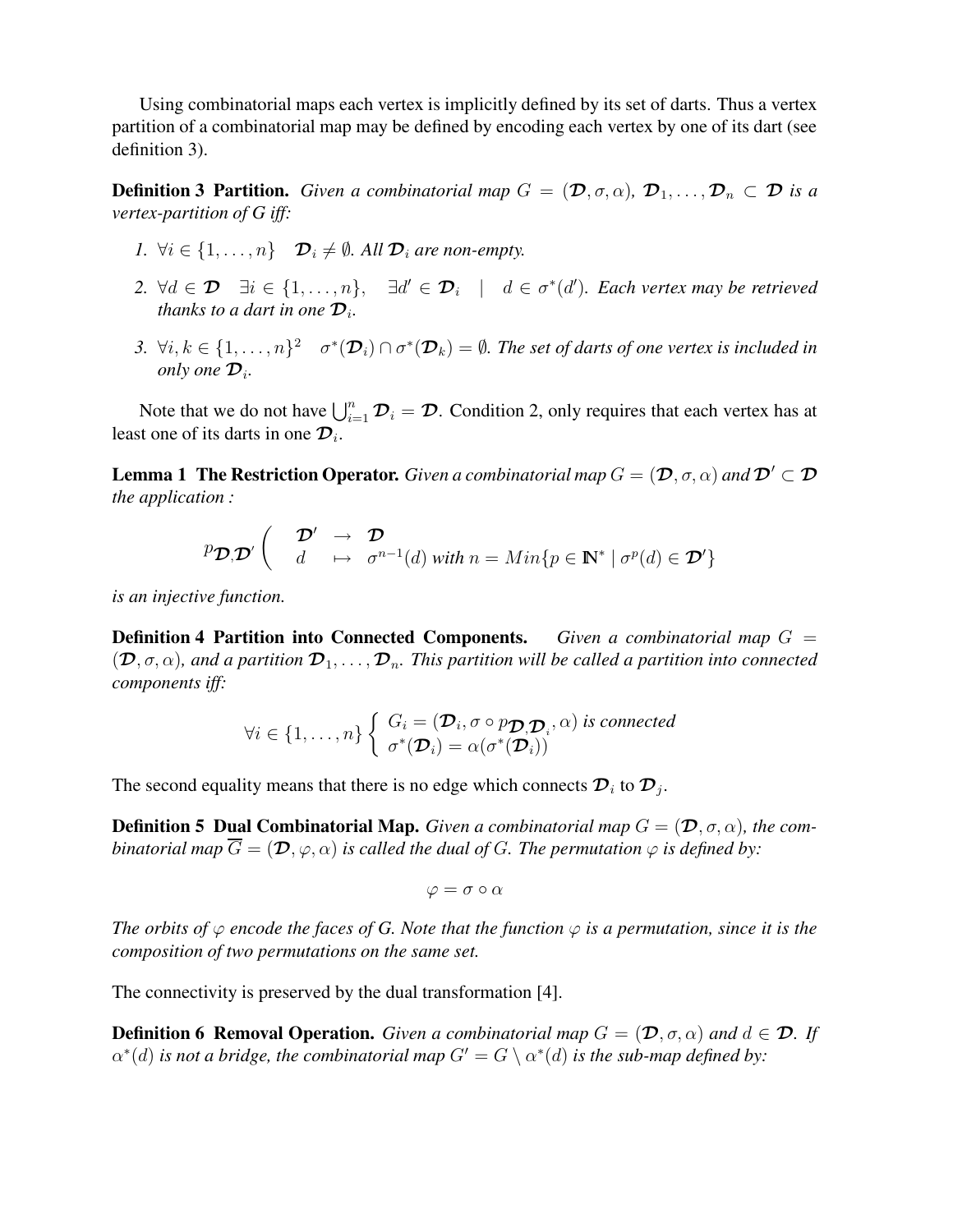Using combinatorial maps each vertex is implicitly defined by its set of darts. Thus a vertex partition of a combinatorial map may be defined by encoding each vertex by one of its dart (see definition 3).

**Definition 3 Partition.** *Given a combinatorial map*  $G = (\mathcal{D}, \sigma, \alpha)$ ,  $\mathcal{D}_1, \ldots, \mathcal{D}_n \subset \mathcal{D}$  *is a vertex-partition of G iff:*

- *1.*  $\forall i \in \{1, \ldots, n\}$   $\mathcal{D}_i \neq \emptyset$ . All  $\mathcal{D}_i$  are non-empty.
- $2. \ \forall d \in \mathcal{D} \quad \exists i \in \{1, \ldots, n\}, \quad \exists d' \in \mathcal{D}_i \quad | \quad d \in \sigma^*(d').$  Each vertex may be retrieved *thanks to a dart in one*  $\mathcal{D}_i$ *.*
- 3.  $\forall i, k \in \{1, \ldots, n\}^2$   $\sigma^*(\mathcal{D}_i) \cap \sigma^*(\mathcal{D}_k) = \emptyset$ . The set of darts of one vertex is included in *only one*  $\mathcal{D}_i$ .

Note that we do not have  $\bigcup_{i=1}^n \mathcal{D}_i = \mathcal{D}$ . Condition 2, only requires that each vertex has at least one of its darts in one  $\overline{\mathcal{D}_i}$ .

**Lemma** 1 **The Restriction Operator.** *Given a combinatorial map*  $G = (\mathcal{D}, \sigma, \alpha)$  *and*  $\mathcal{D}' \subset \mathcal{D}$ *the application :*

$$
p_{\mathcal{D},\mathcal{D}'} \left( \begin{array}{ccc} \mathcal{D'} & \to & \mathcal{D} \\ d & \mapsto & \sigma^{n-1}(d) \text{ with } n = Min\{p \in \mathbb{N}^* \mid \sigma^p(d) \in \mathcal{D'}\} \end{array} \right)
$$

*is an injective function.*

**Definition 4 Partition into Connected Components.** *Given a combinatorial map* G =  $(\mathcal{D}, \sigma, \alpha)$ , and a partition  $\mathcal{D}_1, \ldots, \mathcal{D}_n$ . This partition will be called a partition into connected *components iff:*

$$
\forall i \in \{1, \ldots, n\} \left\{ \begin{array}{l} G_i = (\mathcal{D}_i, \sigma \circ p_{\mathcal{D}, \mathcal{D}_i}, \alpha) \text{ is connected} \\ \sigma^*(\mathcal{D}_i) = \alpha(\sigma^*(\mathcal{D}_i)) \end{array} \right.
$$

The second equality means that there is no edge which connects  $\mathcal{D}_i$  to  $\mathcal{D}_j$ .

**Definition 5 Dual Combinatorial Map.** Given a combinatorial map  $G = (\mathcal{D}, \sigma, \alpha)$ , the com*binatorial map*  $\overline{G} = (\mathcal{D}, \varphi, \alpha)$  *is called the dual of G. The permutation*  $\varphi$  *is defined by:* 

$$
\varphi = \sigma \circ \alpha
$$

The orbits of  $\varphi$  encode the faces of G. Note that the function  $\varphi$  is a permutation, since it is the *composition of two permutations on the same set.*

The connectivity is preserved by the dual transformation [4].

**Definition 6 Removal Operation.** *Given a combinatorial map*  $G = (\mathcal{D}, \sigma, \alpha)$  *and*  $d \in \mathcal{D}$ *. If*  $\alpha^*(d)$  *is not a bridge, the combinatorial map*  $G' = G \setminus \alpha^*(d)$  *is the sub-map defined by:*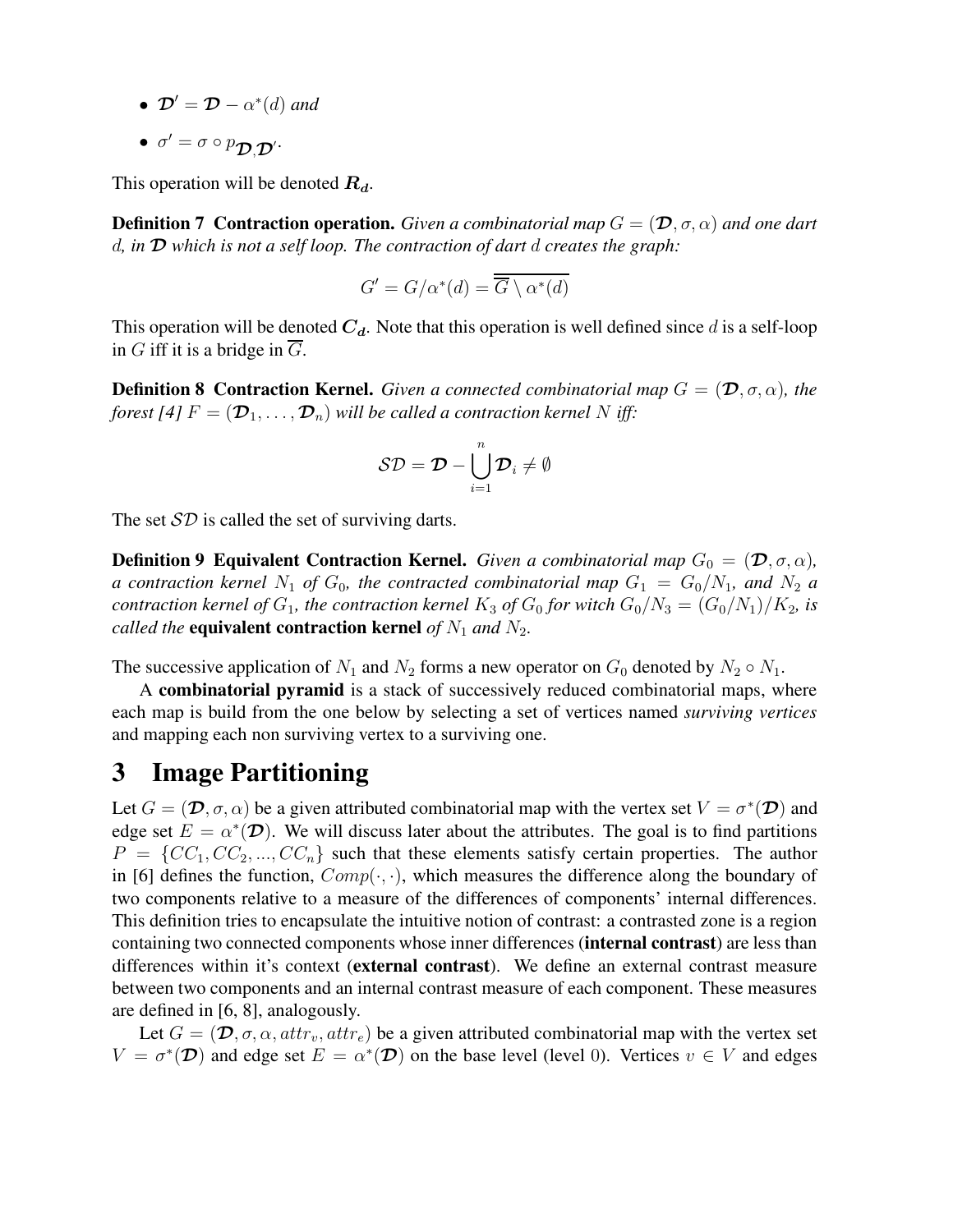- $\mathcal{D}' = \mathcal{D} \alpha^*(d)$  and
- $\bullet\ \ \sigma'=\sigma\circ p_{\mathcal{D},\mathcal{D}'} .$

This operation will be denoted  $R_d$ .

**Definition 7 Contraction operation.** *Given a combinatorial map*  $G = (\mathcal{D}, \sigma, \alpha)$  *and one dart* d*, in* D *which is not a self loop. The contraction of dart* d *creates the graph:*

$$
G' = G/\alpha^*(d) = \overline{\overline{G} \setminus \alpha^*(d)}
$$

This operation will be denoted  $C_d$ . Note that this operation is well defined since d is a self-loop in G iff it is a bridge in  $\overline{G}$ .

**Definition 8 Contraction Kernel.** *Given a connected combinatorial map*  $G = (\mathcal{D}, \sigma, \alpha)$ *, the forest* [4]  $F = (\mathcal{D}_1, \dots, \mathcal{D}_n)$  *will be called a contraction kernel* N *iff*:

$$
\mathcal{SD} = \mathcal{D} - \bigcup_{i=1}^n \mathcal{D}_i \neq \emptyset
$$

The set  $SD$  is called the set of surviving darts.

**Definition 9 Equivalent Contraction Kernel.** *Given a combinatorial map*  $G_0 = (\mathcal{D}, \sigma, \alpha)$ *, a contraction kernel*  $N_1$  *of*  $G_0$ *, the contracted combinatorial map*  $G_1 = G_0/N_1$ *, and*  $N_2$  *a contraction kernel of*  $G_1$ *, the contraction kernel*  $K_3$  *of*  $G_0$  *for witch*  $G_0/N_3 = (G_0/N_1)/K_2$ *, is called the* **equivalent contraction kernel** *of*  $N_1$  *and*  $N_2$ *.* 

The successive application of  $N_1$  and  $N_2$  forms a new operator on  $G_0$  denoted by  $N_2 \circ N_1$ .

A **combinatorial pyramid** is a stack of successively reduced combinatorial maps, where each map is build from the one below by selecting a set of vertices named *surviving vertices* and mapping each non surviving vertex to a surviving one.

## **3 Image Partitioning**

Let  $G = (\mathcal{D}, \sigma, \alpha)$  be a given attributed combinatorial map with the vertex set  $V = \sigma^*(\mathcal{D})$  and edge set  $E = \alpha^*(\mathcal{D})$ . We will discuss later about the attributes. The goal is to find partitions  $P = \{CC_1, CC_2, ..., CC_n\}$  such that these elements satisfy certain properties. The author in [6] defines the function,  $Comp(\cdot, \cdot)$ , which measures the difference along the boundary of two components relative to a measure of the differences of components' internal differences. This definition tries to encapsulate the intuitive notion of contrast: a contrasted zone is a region containing two connected components whose inner differences (**internal contrast**) are less than differences within it's context (**external contrast**). We define an external contrast measure between two components and an internal contrast measure of each component. These measures are defined in [6, 8], analogously.

Let  $G = (\mathcal{D}, \sigma, \alpha, attr_v, attr_e)$  be a given attributed combinatorial map with the vertex set  $V = \sigma^*(\mathcal{D})$  and edge set  $E = \alpha^*(\mathcal{D})$  on the base level (level 0). Vertices  $v \in V$  and edges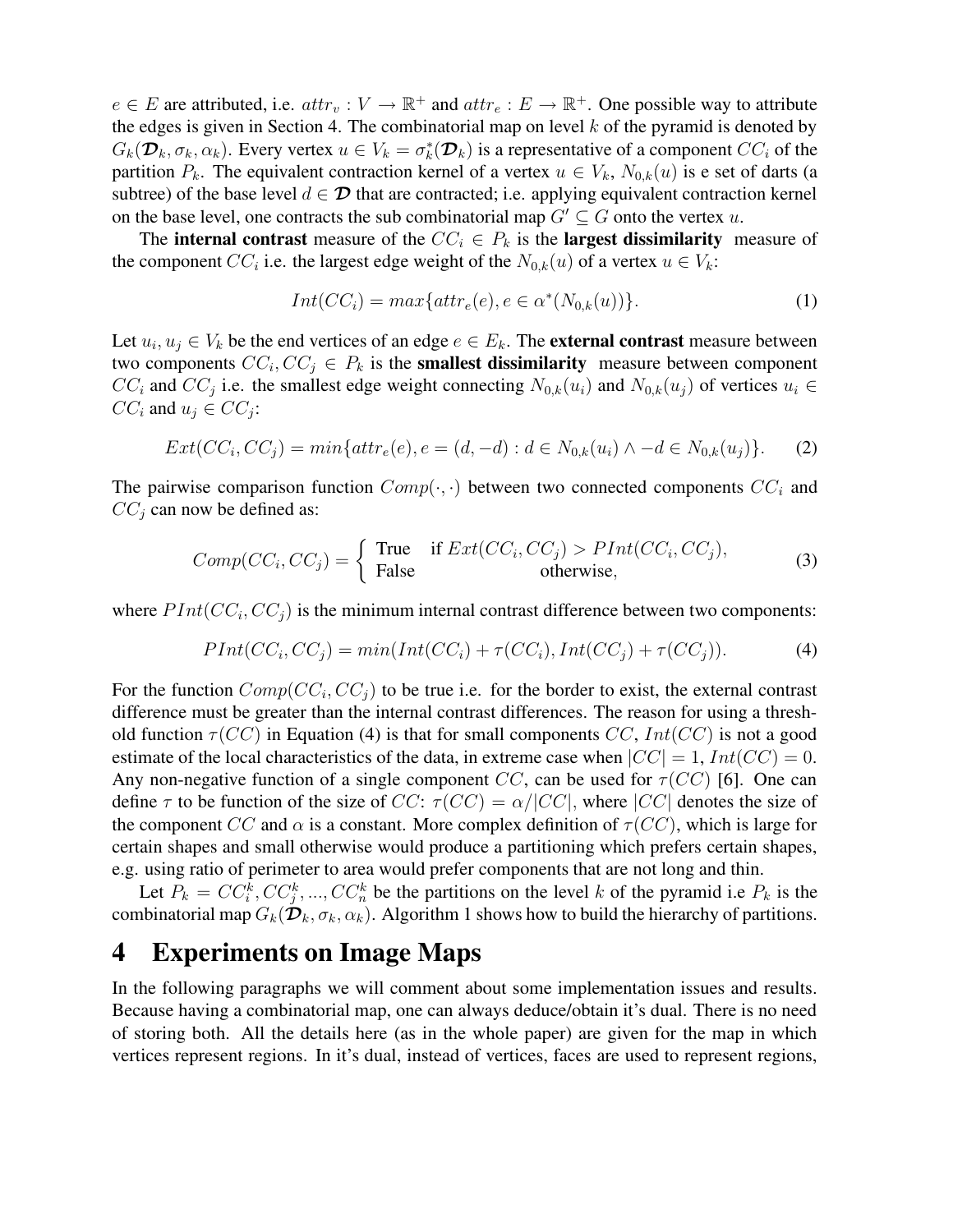$e \in E$  are attributed, i.e.  $attr_v : V \to \mathbb{R}^+$  and  $attr_e : E \to \mathbb{R}^+$ . One possible way to attribute the edges is given in Section 4. The combinatorial map on level  $k$  of the pyramid is denoted by  $G_k(\mathcal{D}_k, \sigma_k, \alpha_k)$ . Every vertex  $u \in V_k = \sigma_k^*(\mathcal{D}_k)$  is a representative of a component  $CC_i$  of the partition  $P_k$ . The equivalent contraction kernel of a vertex  $u \in V_k$ ,  $N_{0,k}(u)$  is e set of darts (a subtree) of the base level  $d \in \mathcal{D}$  that are contracted; i.e. applying equivalent contraction kernel on the base level, one contracts the sub combinatorial map  $G' \subseteq G$  onto the vertex u.

The **internal contrast** measure of the  $CC_i \in P_k$  is the **largest dissimilarity** measure of the component  $CC_i$  i.e. the largest edge weight of the  $N_{0,k}(u)$  of a vertex  $u \in V_k$ :

$$
Int(CCi) = max{attre(e), e \in \alpha^*(N_{0,k}(u))}.
$$
\n(1)

Let  $u_i, u_j \in V_k$  be the end vertices of an edge  $e \in E_k$ . The **external contrast** measure between two components  $CC_i$ ,  $CC_j \in P_k$  is the **smallest dissimilarity** measure between component  $CC_i$  and  $CC_j$  i.e. the smallest edge weight connecting  $N_{0,k}(u_i)$  and  $N_{0,k}(u_j)$  of vertices  $u_i \in$  $CC_i$  and  $u_j \in CC_j$ :

$$
Ext(CC_i, CC_j) = min\{attr_e(e), e = (d, -d) : d \in N_{0,k}(u_i) \land -d \in N_{0,k}(u_j)\}.
$$
 (2)

The pairwise comparison function  $Comp(\cdot, \cdot)$  between two connected components  $CC_i$  and  $CC<sub>j</sub>$  can now be defined as:

$$
Comp(CC_i, CC_j) = \begin{cases} \text{True} & \text{if } Ext(CC_i, CC_j) > PInt(CC_i, CC_j), \\ \text{False} & \text{otherwise,} \end{cases}
$$
(3)

where  $PInt(CC_i, CC_j)$  is the minimum internal contrast difference between two components:

$$
PInt(CC_i, CC_j) = min(int(CC_i) + \tau(CC_i), Int(CC_j) + \tau(CC_j)).
$$
\n(4)

For the function  $Comp(CC_i, CC_j)$  to be true i.e. for the border to exist, the external contrast difference must be greater than the internal contrast differences. The reason for using a threshold function  $\tau(CC)$  in Equation (4) is that for small components CC,  $Int(CC)$  is not a good estimate of the local characteristics of the data, in extreme case when  $|CC| = 1$ ,  $Int(CC) = 0$ . Any non-negative function of a single component CC, can be used for  $\tau$ (CC) [6]. One can define  $\tau$  to be function of the size of  $CC$ :  $\tau(CC) = \alpha / |CC|$ , where  $|CC|$  denotes the size of the component CC and  $\alpha$  is a constant. More complex definition of  $\tau(CC)$ , which is large for certain shapes and small otherwise would produce a partitioning which prefers certain shapes, e.g. using ratio of perimeter to area would prefer components that are not long and thin.

Let  $P_k = CC_i^k, CC_j^k, ..., CC_n^k$  be the partitions on the level k of the pyramid i.e  $P_k$  is the combinatorial map  $G_k(\mathcal{D}_k, \sigma_k, \alpha_k)$ . Algorithm 1 shows how to build the hierarchy of partitions.

#### **4 Experiments on Image Maps**

In the following paragraphs we will comment about some implementation issues and results. Because having a combinatorial map, one can always deduce/obtain it's dual. There is no need of storing both. All the details here (as in the whole paper) are given for the map in which vertices represent regions. In it's dual, instead of vertices, faces are used to represent regions,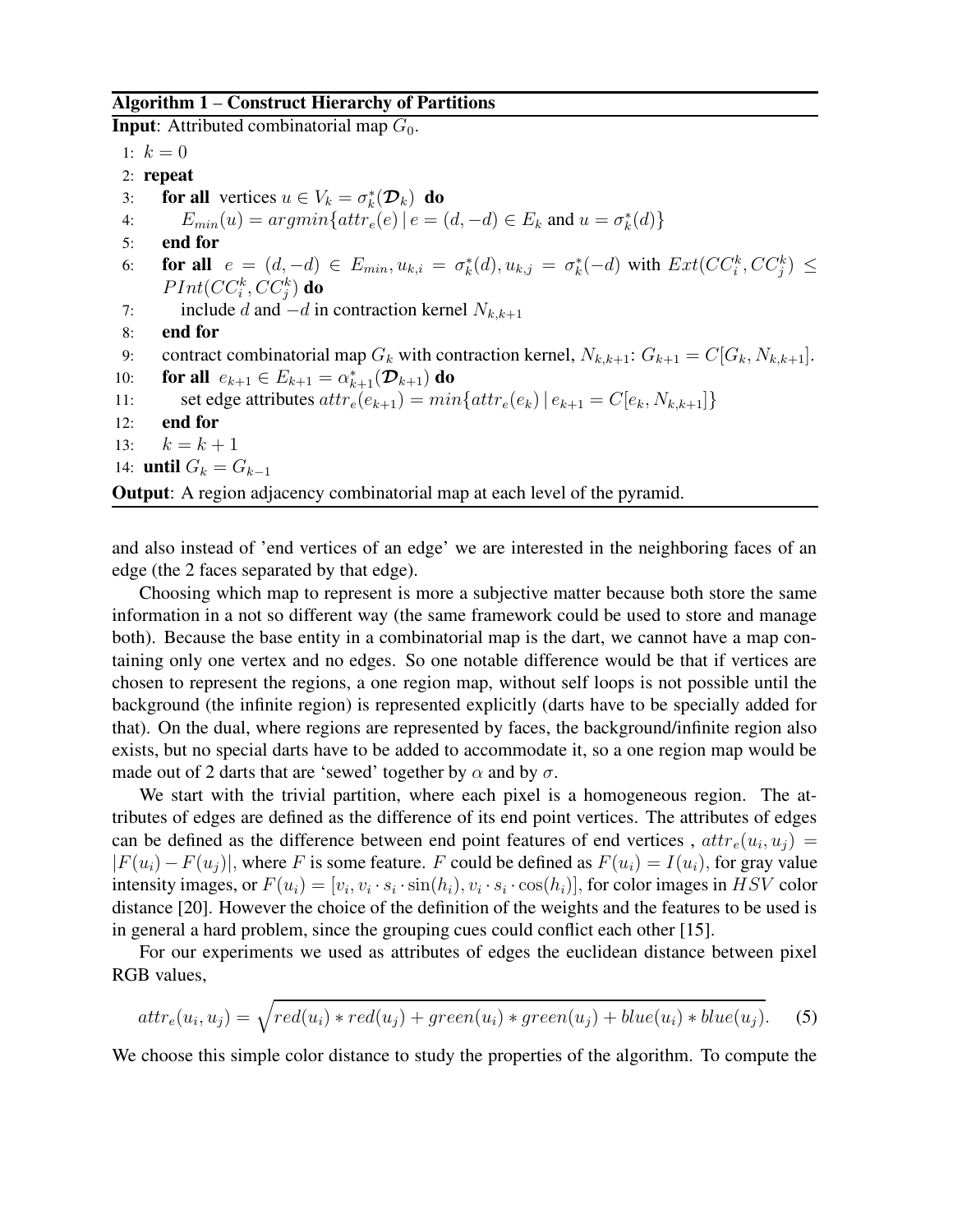#### **Algorithm 1** – **Construct Hierarchy of Partitions**

**Input**: Attributed combinatorial map  $G_0$ .

1:  $k = 0$ 

- 2: **repeat**
- 3: **for all** vertices  $u \in V_k = \sigma_k^*(\mathcal{D}_k)$  **do**
- 4:  $E_{min}(u) = argmin\{attr_e(e) | e = (d, -d) \in E_k \text{ and } u = \sigma_k^*(d) \}$
- 5: **end for**
- 6: **for all**  $e = (d, -d) \in E_{min}, u_{k,i} = \sigma_k^*(d), u_{k,j} = \sigma_k^*(-d)$  with  $Ext(CC_i^k, CC_j^k) \le$  $PInt(CC^k_i,CC^k_j)$  do
- 7: include d and  $-d$  in contraction kernel  $N_{k,k+1}$
- 8: **end for**

```
9: contract combinatorial map G_k with contraction kernel, N_{k,k+1}: G_{k+1} = C[G_k, N_{k,k+1}].
```
- 10: **for all**  $e_{k+1} \in E_{k+1} = \alpha_{k+1}^*(\mathcal{D}_{k+1})$  **do**
- 11: set edge attributes  $attr_e(e_{k+1}) = min\{attr_e(e_k) | e_{k+1} = C[e_k, N_{k,k+1}]\}$
- 12: **end for**
- 13:  $k = k + 1$
- 14: **until**  $G_k = G_{k-1}$

**Output**: A region adjacency combinatorial map at each level of the pyramid.

and also instead of 'end vertices of an edge' we are interested in the neighboring faces of an edge (the 2 faces separated by that edge).

Choosing which map to represent is more a subjective matter because both store the same information in a not so different way (the same framework could be used to store and manage both). Because the base entity in a combinatorial map is the dart, we cannot have a map containing only one vertex and no edges. So one notable difference would be that if vertices are chosen to represent the regions, a one region map, without self loops is not possible until the background (the infinite region) is represented explicitly (darts have to be specially added for that). On the dual, where regions are represented by faces, the background/infinite region also exists, but no special darts have to be added to accommodate it, so a one region map would be made out of 2 darts that are 'sewed' together by  $\alpha$  and by  $\sigma$ .

We start with the trivial partition, where each pixel is a homogeneous region. The attributes of edges are defined as the difference of its end point vertices. The attributes of edges can be defined as the difference between end point features of end vertices,  $attr_e(u_i, u_j)$  $|F(u_i)-F(u_j)|$ , where F is some feature. F could be defined as  $F(u_i)=I(u_i)$ , for gray value intensity images, or  $F(u_i) = [v_i, v_i \cdot s_i \cdot \sin(h_i), v_i \cdot s_i \cdot \cos(h_i)],$  for color images in  $HSV$  color distance [20]. However the choice of the definition of the weights and the features to be used is in general a hard problem, since the grouping cues could conflict each other [15].

For our experiments we used as attributes of edges the euclidean distance between pixel RGB values,

$$
attr_e(u_i, u_j) = \sqrt{red(u_i) * red(u_j) + green(u_i) * green(u_j) + blue(u_i) * blue(u_j)}.
$$
 (5)

We choose this simple color distance to study the properties of the algorithm. To compute the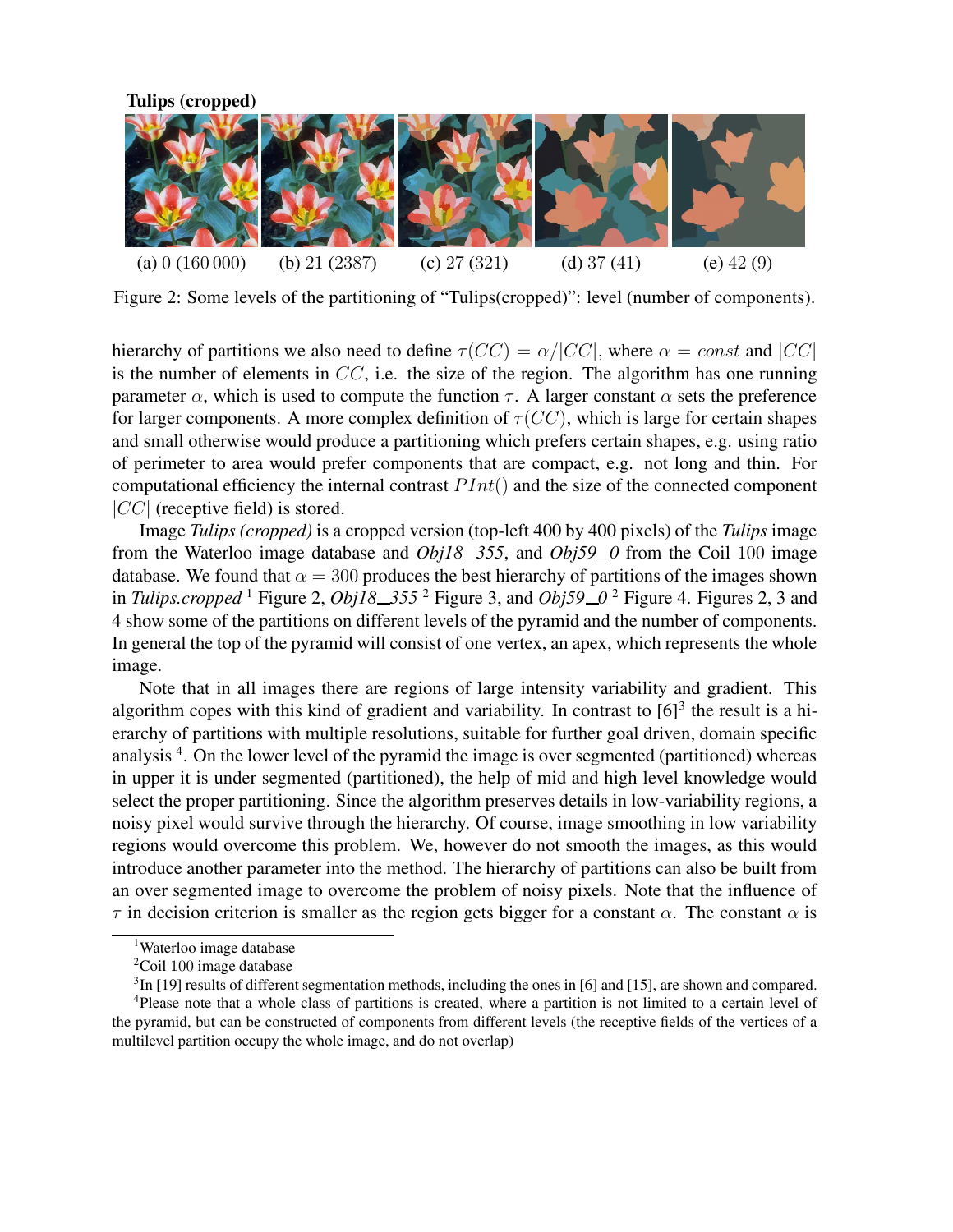

Figure 2: Some levels of the partitioning of "Tulips(cropped)": level (number of components).

hierarchy of partitions we also need to define  $\tau(CC) = \alpha / |CC|$ , where  $\alpha = const$  and  $|CC|$ is the number of elements in  $CC$ , i.e. the size of the region. The algorithm has one running parameter  $\alpha$ , which is used to compute the function  $\tau$ . A larger constant  $\alpha$  sets the preference for larger components. A more complex definition of  $\tau(CC)$ , which is large for certain shapes and small otherwise would produce a partitioning which prefers certain shapes, e.g. using ratio of perimeter to area would prefer components that are compact, e.g. not long and thin. For computational efficiency the internal contrast  $PInt()$  and the size of the connected component  $|CC|$  (receptive field) is stored.

Image *Tulips (cropped)* is a cropped version (top-left 400 by 400 pixels) of the *Tulips* image from the Waterloo image database and *Obj18 355*, and *Obj59 0* from the Coil 100 image database. We found that  $\alpha = 300$  produces the best hierarchy of partitions of the images shown in *Tulips.cropped* <sup>1</sup> Figure 2, *Obj18 355* <sup>2</sup> Figure 3, and *Obj59 0* <sup>2</sup> Figure 4. Figures 2, 3 and 4 show some of the partitions on different levels of the pyramid and the number of components. In general the top of the pyramid will consist of one vertex, an apex, which represents the whole image.

Note that in all images there are regions of large intensity variability and gradient. This algorithm copes with this kind of gradient and variability. In contrast to  $[6]^3$  the result is a hierarchy of partitions with multiple resolutions, suitable for further goal driven, domain specific analysis<sup>4</sup>. On the lower level of the pyramid the image is over segmented (partitioned) whereas in upper it is under segmented (partitioned), the help of mid and high level knowledge would select the proper partitioning. Since the algorithm preserves details in low-variability regions, a noisy pixel would survive through the hierarchy. Of course, image smoothing in low variability regions would overcome this problem. We, however do not smooth the images, as this would introduce another parameter into the method. The hierarchy of partitions can also be built from an over segmented image to overcome the problem of noisy pixels. Note that the influence of  $\tau$  in decision criterion is smaller as the region gets bigger for a constant  $\alpha$ . The constant  $\alpha$  is

<sup>&</sup>lt;sup>1</sup>Waterloo image database

<sup>&</sup>lt;sup>2</sup>Coil 100 image database

 $3$ In [19] results of different segmentation methods, including the ones in [6] and [15], are shown and compared.

<sup>4</sup>Please note that a whole class of partitions is created, where a partition is not limited to a certain level of the pyramid, but can be constructed of components from different levels (the receptive fields of the vertices of a multilevel partition occupy the whole image, and do not overlap)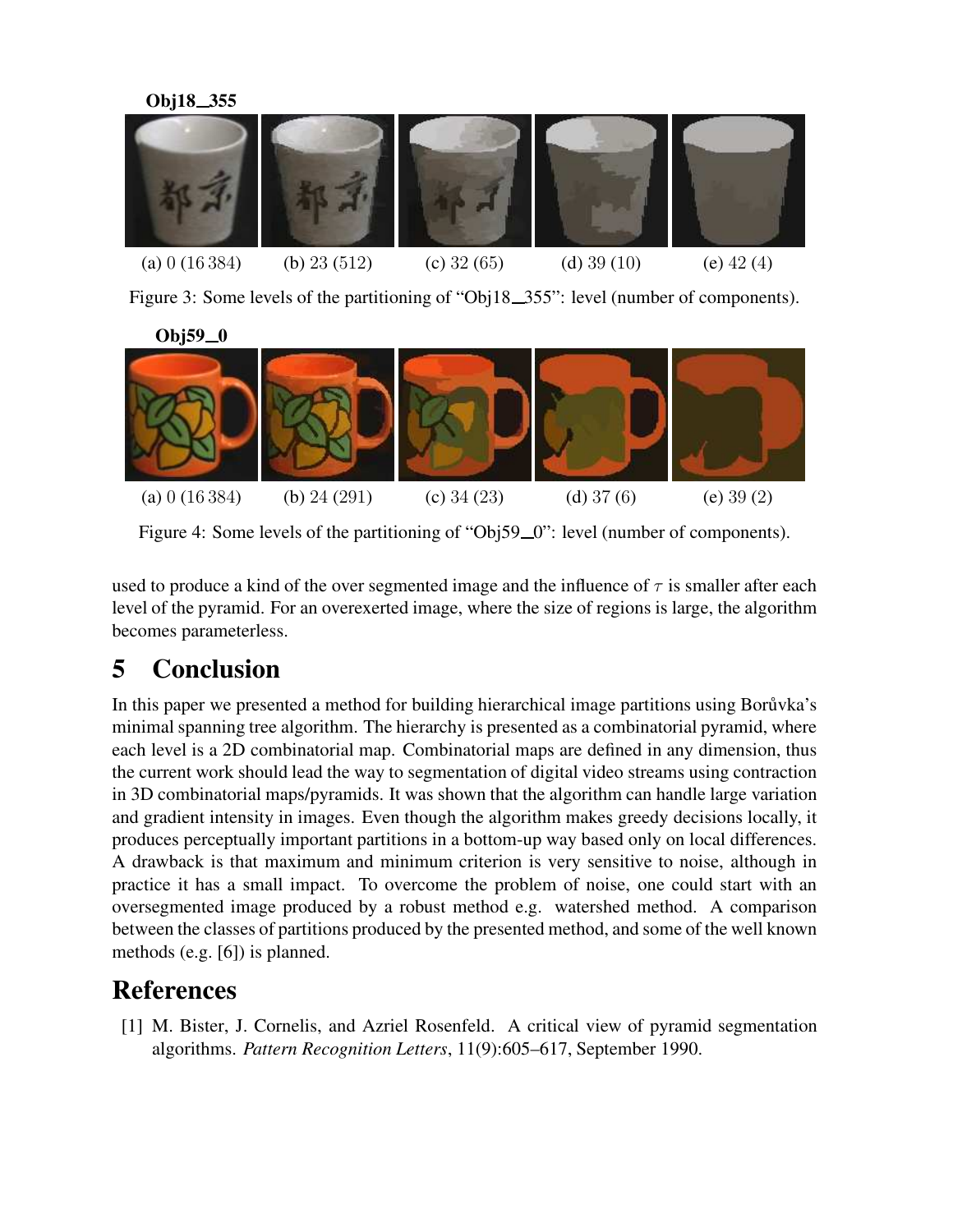

Figure 3: Some levels of the partitioning of "Obj18\_355": level (number of components).

**Obj59 0**



Figure 4: Some levels of the partitioning of "Obj59\_0": level (number of components).

used to produce a kind of the over segmented image and the influence of  $\tau$  is smaller after each level of the pyramid. For an overexerted image, where the size of regions is large, the algorithm becomes parameterless.

# **5 Conclusion**

In this paper we presented a method for building hierarchical image partitions using Boru<sup>vka's</sup> minimal spanning tree algorithm. The hierarchy is presented as a combinatorial pyramid, where each level is a 2D combinatorial map. Combinatorial maps are defined in any dimension, thus the current work should lead the way to segmentation of digital video streams using contraction in 3D combinatorial maps/pyramids. It was shown that the algorithm can handle large variation and gradient intensity in images. Even though the algorithm makes greedy decisions locally, it produces perceptually important partitions in a bottom-up way based only on local differences. A drawback is that maximum and minimum criterion is very sensitive to noise, although in practice it has a small impact. To overcome the problem of noise, one could start with an oversegmented image produced by a robust method e.g. watershed method. A comparison between the classes of partitions produced by the presented method, and some of the well known methods (e.g. [6]) is planned.

# **References**

[1] M. Bister, J. Cornelis, and Azriel Rosenfeld. A critical view of pyramid segmentation algorithms. *Pattern Recognition Letters*, 11(9):605–617, September 1990.